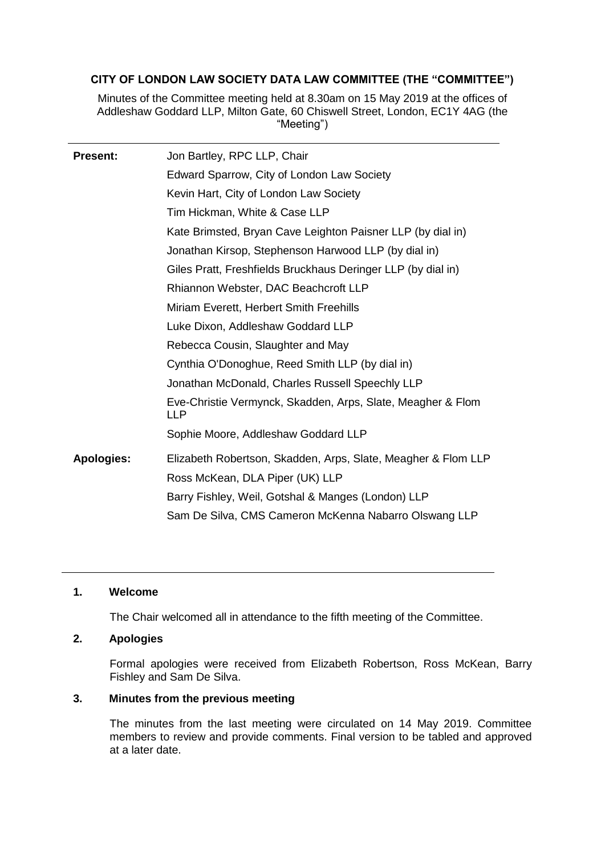## **CITY OF LONDON LAW SOCIETY DATA LAW COMMITTEE (THE "COMMITTEE")**

Minutes of the Committee meeting held at 8.30am on 15 May 2019 at the offices of Addleshaw Goddard LLP, Milton Gate, 60 Chiswell Street, London, EC1Y 4AG (the "Meeting")

| <b>Present:</b>   | Jon Bartley, RPC LLP, Chair                                                                      |
|-------------------|--------------------------------------------------------------------------------------------------|
|                   | Edward Sparrow, City of London Law Society                                                       |
|                   | Kevin Hart, City of London Law Society                                                           |
|                   | Tim Hickman, White & Case LLP                                                                    |
|                   | Kate Brimsted, Bryan Cave Leighton Paisner LLP (by dial in)                                      |
|                   | Jonathan Kirsop, Stephenson Harwood LLP (by dial in)                                             |
|                   | Giles Pratt, Freshfields Bruckhaus Deringer LLP (by dial in)                                     |
|                   | Rhiannon Webster, DAC Beachcroft LLP                                                             |
|                   | Miriam Everett, Herbert Smith Freehills                                                          |
|                   | Luke Dixon, Addleshaw Goddard LLP                                                                |
|                   | Rebecca Cousin, Slaughter and May                                                                |
|                   | Cynthia O'Donoghue, Reed Smith LLP (by dial in)                                                  |
|                   | Jonathan McDonald, Charles Russell Speechly LLP                                                  |
|                   | Eve-Christie Vermynck, Skadden, Arps, Slate, Meagher & Flom<br>LLP.                              |
|                   | Sophie Moore, Addleshaw Goddard LLP                                                              |
| <b>Apologies:</b> | Elizabeth Robertson, Skadden, Arps, Slate, Meagher & Flom LLP<br>Ross McKean, DLA Piper (UK) LLP |
|                   | Barry Fishley, Weil, Gotshal & Manges (London) LLP                                               |
|                   | Sam De Silva, CMS Cameron McKenna Nabarro Olswang LLP                                            |

## **1. Welcome**

The Chair welcomed all in attendance to the fifth meeting of the Committee.

## **2. Apologies**

Formal apologies were received from Elizabeth Robertson, Ross McKean, Barry Fishley and Sam De Silva.

## **3. Minutes from the previous meeting**

The minutes from the last meeting were circulated on 14 May 2019. Committee members to review and provide comments. Final version to be tabled and approved at a later date.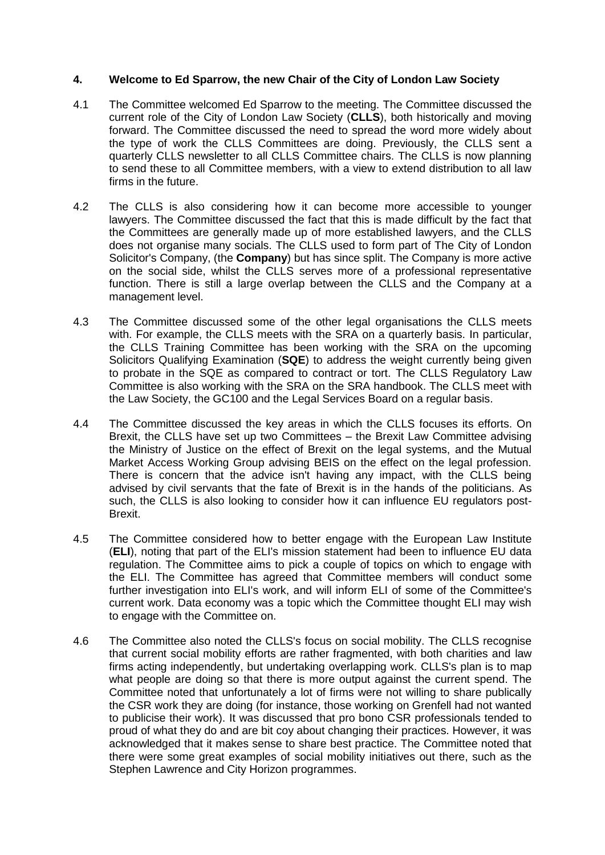## **4. Welcome to Ed Sparrow, the new Chair of the City of London Law Society**

- 4.1 The Committee welcomed Ed Sparrow to the meeting. The Committee discussed the current role of the City of London Law Society (**CLLS**), both historically and moving forward. The Committee discussed the need to spread the word more widely about the type of work the CLLS Committees are doing. Previously, the CLLS sent a quarterly CLLS newsletter to all CLLS Committee chairs. The CLLS is now planning to send these to all Committee members, with a view to extend distribution to all law firms in the future.
- 4.2 The CLLS is also considering how it can become more accessible to younger lawyers. The Committee discussed the fact that this is made difficult by the fact that the Committees are generally made up of more established lawyers, and the CLLS does not organise many socials. The CLLS used to form part of The City of London Solicitor's Company, (the **Company**) but has since split. The Company is more active on the social side, whilst the CLLS serves more of a professional representative function. There is still a large overlap between the CLLS and the Company at a management level.
- 4.3 The Committee discussed some of the other legal organisations the CLLS meets with. For example, the CLLS meets with the SRA on a quarterly basis. In particular, the CLLS Training Committee has been working with the SRA on the upcoming Solicitors Qualifying Examination (**SQE**) to address the weight currently being given to probate in the SQE as compared to contract or tort. The CLLS Regulatory Law Committee is also working with the SRA on the SRA handbook. The CLLS meet with the Law Society, the GC100 and the Legal Services Board on a regular basis.
- 4.4 The Committee discussed the key areas in which the CLLS focuses its efforts. On Brexit, the CLLS have set up two Committees – the Brexit Law Committee advising the Ministry of Justice on the effect of Brexit on the legal systems, and the Mutual Market Access Working Group advising BEIS on the effect on the legal profession. There is concern that the advice isn't having any impact, with the CLLS being advised by civil servants that the fate of Brexit is in the hands of the politicians. As such, the CLLS is also looking to consider how it can influence EU regulators post-Brexit.
- 4.5 The Committee considered how to better engage with the European Law Institute (**ELI**), noting that part of the ELI's mission statement had been to influence EU data regulation. The Committee aims to pick a couple of topics on which to engage with the ELI. The Committee has agreed that Committee members will conduct some further investigation into ELI's work, and will inform ELI of some of the Committee's current work. Data economy was a topic which the Committee thought ELI may wish to engage with the Committee on.
- 4.6 The Committee also noted the CLLS's focus on social mobility. The CLLS recognise that current social mobility efforts are rather fragmented, with both charities and law firms acting independently, but undertaking overlapping work. CLLS's plan is to map what people are doing so that there is more output against the current spend. The Committee noted that unfortunately a lot of firms were not willing to share publically the CSR work they are doing (for instance, those working on Grenfell had not wanted to publicise their work). It was discussed that pro bono CSR professionals tended to proud of what they do and are bit coy about changing their practices. However, it was acknowledged that it makes sense to share best practice. The Committee noted that there were some great examples of social mobility initiatives out there, such as the Stephen Lawrence and City Horizon programmes.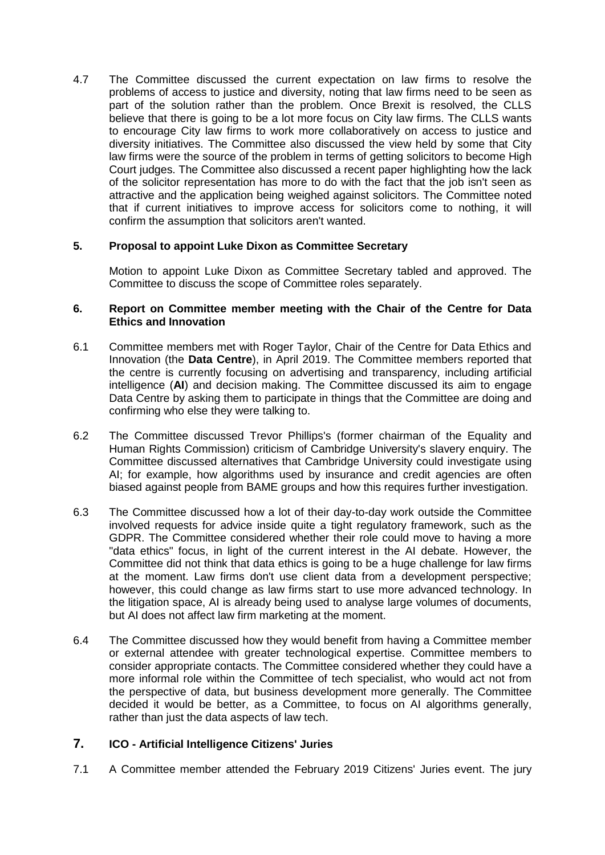4.7 The Committee discussed the current expectation on law firms to resolve the problems of access to justice and diversity, noting that law firms need to be seen as part of the solution rather than the problem. Once Brexit is resolved, the CLLS believe that there is going to be a lot more focus on City law firms. The CLLS wants to encourage City law firms to work more collaboratively on access to justice and diversity initiatives. The Committee also discussed the view held by some that City law firms were the source of the problem in terms of getting solicitors to become High Court judges. The Committee also discussed a recent paper highlighting how the lack of the solicitor representation has more to do with the fact that the job isn't seen as attractive and the application being weighed against solicitors. The Committee noted that if current initiatives to improve access for solicitors come to nothing, it will confirm the assumption that solicitors aren't wanted.

## **5. Proposal to appoint Luke Dixon as Committee Secretary**

Motion to appoint Luke Dixon as Committee Secretary tabled and approved. The Committee to discuss the scope of Committee roles separately.

### **6. Report on Committee member meeting with the Chair of the Centre for Data Ethics and Innovation**

- 6.1 Committee members met with Roger Taylor, Chair of the Centre for Data Ethics and Innovation (the **Data Centre**), in April 2019. The Committee members reported that the centre is currently focusing on advertising and transparency, including artificial intelligence (**AI**) and decision making. The Committee discussed its aim to engage Data Centre by asking them to participate in things that the Committee are doing and confirming who else they were talking to.
- 6.2 The Committee discussed Trevor Phillips's (former chairman of the Equality and Human Rights Commission) criticism of Cambridge University's slavery enquiry. The Committee discussed alternatives that Cambridge University could investigate using AI; for example, how algorithms used by insurance and credit agencies are often biased against people from BAME groups and how this requires further investigation.
- 6.3 The Committee discussed how a lot of their day-to-day work outside the Committee involved requests for advice inside quite a tight regulatory framework, such as the GDPR. The Committee considered whether their role could move to having a more "data ethics" focus, in light of the current interest in the AI debate. However, the Committee did not think that data ethics is going to be a huge challenge for law firms at the moment. Law firms don't use client data from a development perspective; however, this could change as law firms start to use more advanced technology. In the litigation space, AI is already being used to analyse large volumes of documents, but AI does not affect law firm marketing at the moment.
- 6.4 The Committee discussed how they would benefit from having a Committee member or external attendee with greater technological expertise. Committee members to consider appropriate contacts. The Committee considered whether they could have a more informal role within the Committee of tech specialist, who would act not from the perspective of data, but business development more generally. The Committee decided it would be better, as a Committee, to focus on AI algorithms generally, rather than just the data aspects of law tech.

# **7. ICO - Artificial Intelligence Citizens' Juries**

7.1 A Committee member attended the February 2019 Citizens' Juries event. The jury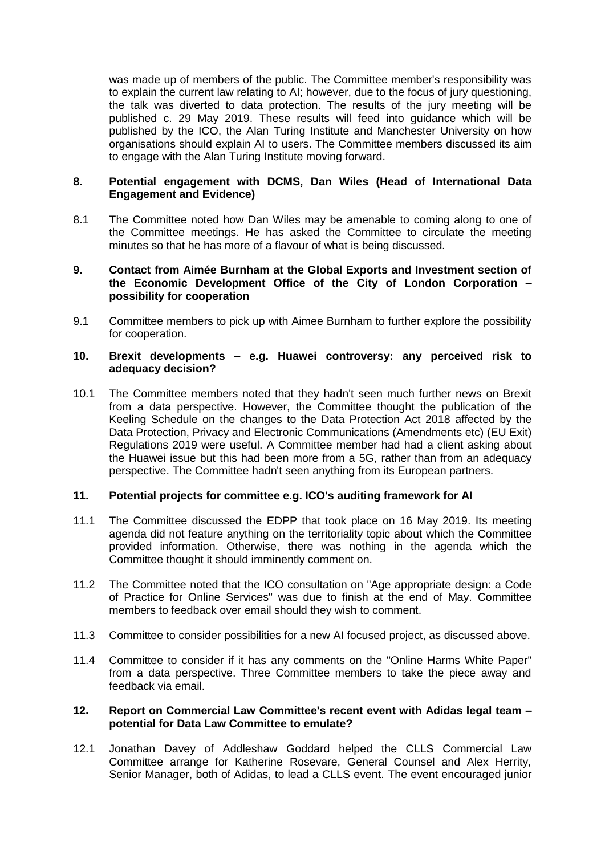was made up of members of the public. The Committee member's responsibility was to explain the current law relating to AI; however, due to the focus of jury questioning, the talk was diverted to data protection. The results of the jury meeting will be published c. 29 May 2019. These results will feed into guidance which will be published by the ICO, the Alan Turing Institute and Manchester University on how organisations should explain AI to users. The Committee members discussed its aim to engage with the Alan Turing Institute moving forward.

### **8. Potential engagement with DCMS, Dan Wiles (Head of International Data Engagement and Evidence)**

8.1 The Committee noted how Dan Wiles may be amenable to coming along to one of the Committee meetings. He has asked the Committee to circulate the meeting minutes so that he has more of a flavour of what is being discussed.

#### **9. Contact from Aimée Burnham at the Global Exports and Investment section of the Economic Development Office of the City of London Corporation – possibility for cooperation**

9.1 Committee members to pick up with Aimee Burnham to further explore the possibility for cooperation.

#### **10. Brexit developments – e.g. Huawei controversy: any perceived risk to adequacy decision?**

10.1 The Committee members noted that they hadn't seen much further news on Brexit from a data perspective. However, the Committee thought the publication of the Keeling Schedule on the changes to the Data Protection Act 2018 affected by the Data Protection, Privacy and Electronic Communications (Amendments etc) (EU Exit) Regulations 2019 were useful. A Committee member had had a client asking about the Huawei issue but this had been more from a 5G, rather than from an adequacy perspective. The Committee hadn't seen anything from its European partners.

### **11. Potential projects for committee e.g. ICO's auditing framework for AI**

- 11.1 The Committee discussed the EDPP that took place on 16 May 2019. Its meeting agenda did not feature anything on the territoriality topic about which the Committee provided information. Otherwise, there was nothing in the agenda which the Committee thought it should imminently comment on.
- 11.2 The Committee noted that the ICO consultation on "Age appropriate design: a Code of Practice for Online Services" was due to finish at the end of May. Committee members to feedback over email should they wish to comment.
- 11.3 Committee to consider possibilities for a new AI focused project, as discussed above.
- 11.4 Committee to consider if it has any comments on the "Online Harms White Paper" from a data perspective. Three Committee members to take the piece away and feedback via email.

#### **12. Report on Commercial Law Committee's recent event with Adidas legal team – potential for Data Law Committee to emulate?**

12.1 Jonathan Davey of Addleshaw Goddard helped the CLLS Commercial Law Committee arrange for Katherine Rosevare, General Counsel and Alex Herrity, Senior Manager, both of Adidas, to lead a CLLS event. The event encouraged junior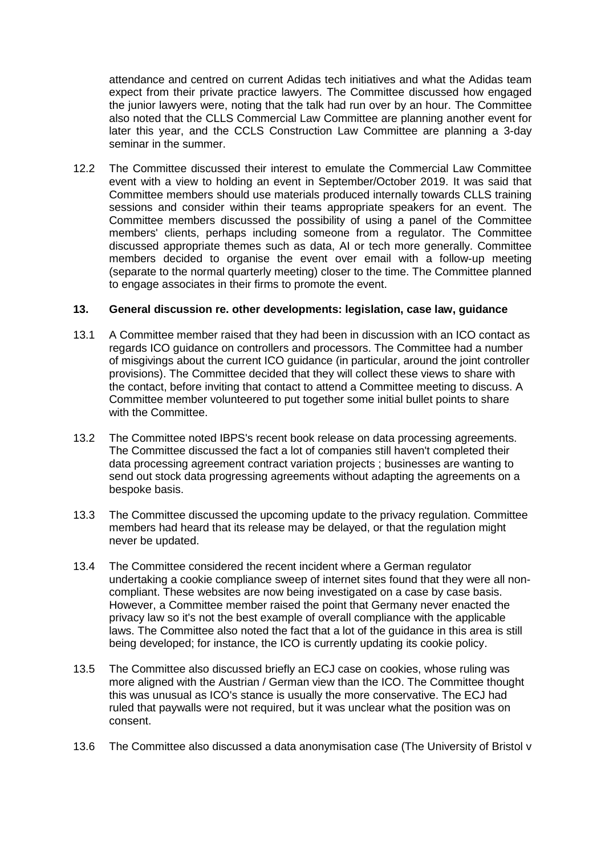attendance and centred on current Adidas tech initiatives and what the Adidas team expect from their private practice lawyers. The Committee discussed how engaged the junior lawyers were, noting that the talk had run over by an hour. The Committee also noted that the CLLS Commercial Law Committee are planning another event for later this year, and the CCLS Construction Law Committee are planning a 3-day seminar in the summer.

12.2 The Committee discussed their interest to emulate the Commercial Law Committee event with a view to holding an event in September/October 2019. It was said that Committee members should use materials produced internally towards CLLS training sessions and consider within their teams appropriate speakers for an event. The Committee members discussed the possibility of using a panel of the Committee members' clients, perhaps including someone from a regulator. The Committee discussed appropriate themes such as data, AI or tech more generally. Committee members decided to organise the event over email with a follow-up meeting (separate to the normal quarterly meeting) closer to the time. The Committee planned to engage associates in their firms to promote the event.

## **13. General discussion re. other developments: legislation, case law, guidance**

- 13.1 A Committee member raised that they had been in discussion with an ICO contact as regards ICO guidance on controllers and processors. The Committee had a number of misgivings about the current ICO guidance (in particular, around the joint controller provisions). The Committee decided that they will collect these views to share with the contact, before inviting that contact to attend a Committee meeting to discuss. A Committee member volunteered to put together some initial bullet points to share with the Committee.
- 13.2 The Committee noted IBPS's recent book release on data processing agreements. The Committee discussed the fact a lot of companies still haven't completed their data processing agreement contract variation projects ; businesses are wanting to send out stock data progressing agreements without adapting the agreements on a bespoke basis.
- 13.3 The Committee discussed the upcoming update to the privacy regulation. Committee members had heard that its release may be delayed, or that the regulation might never be updated.
- 13.4 The Committee considered the recent incident where a German regulator undertaking a cookie compliance sweep of internet sites found that they were all noncompliant. These websites are now being investigated on a case by case basis. However, a Committee member raised the point that Germany never enacted the privacy law so it's not the best example of overall compliance with the applicable laws. The Committee also noted the fact that a lot of the guidance in this area is still being developed; for instance, the ICO is currently updating its cookie policy.
- 13.5 The Committee also discussed briefly an ECJ case on cookies, whose ruling was more aligned with the Austrian / German view than the ICO. The Committee thought this was unusual as ICO's stance is usually the more conservative. The ECJ had ruled that paywalls were not required, but it was unclear what the position was on consent.
- 13.6 The Committee also discussed a data anonymisation case (The University of Bristol v